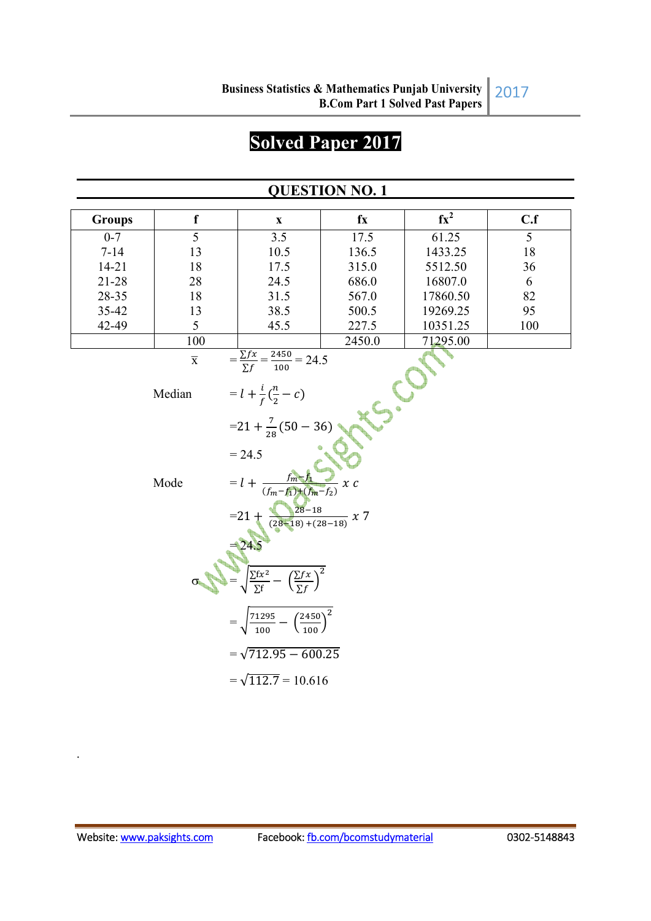# **Solved Paper 2017**

## **QUESTION NO. 1**

| <b>Groups</b> | $\mathbf f$             | $\mathbf X$                                                                                                            | $f_{X}$ | $fx^2$   | C.f |
|---------------|-------------------------|------------------------------------------------------------------------------------------------------------------------|---------|----------|-----|
| $0 - 7$       | 5                       | 3.5                                                                                                                    | 17.5    | 61.25    | 5   |
| $7 - 14$      | 13                      | 10.5                                                                                                                   | 136.5   | 1433.25  | 18  |
| $14 - 21$     | 18                      | 17.5                                                                                                                   | 315.0   | 5512.50  | 36  |
| $21 - 28$     | 28                      | 24.5                                                                                                                   | 686.0   | 16807.0  | 6   |
| 28-35         | 18                      | 31.5                                                                                                                   | 567.0   | 17860.50 | 82  |
| 35-42         | 13                      | 38.5                                                                                                                   | 500.5   | 19269.25 | 95  |
| 42-49         | 5                       | 45.5                                                                                                                   | 227.5   | 10351.25 | 100 |
|               | 100                     |                                                                                                                        | 2450.0  | 71295.00 |     |
|               | $\overline{\textbf{X}}$ | $=\frac{\sum fx}{\sum f} = \frac{2450}{100} = 24.5$                                                                    |         |          |     |
|               | Median                  | = $l + \frac{i}{f}(\frac{n}{2} - c)$<br>= 21 + $\frac{7}{28}$ (50 - 36)                                                |         |          |     |
|               |                         |                                                                                                                        |         |          |     |
|               |                         | $= 24.5$                                                                                                               |         |          |     |
|               | Mode                    | $= l + \frac{Im(z)}{(fm - f_1) + (fm - f_2)}$                                                                          | x c     |          |     |
|               |                         | =21 + $\frac{28-18}{(28-18)+(28-18)}$ x 7<br>=24.5<br>= $\sqrt{\frac{\sum fx^2}{\sum f} - (\frac{\sum fx}{\sum f})^2}$ |         |          |     |
|               |                         |                                                                                                                        |         |          |     |
|               |                         | $\sqrt{\frac{71295}{100}-\left(\frac{2450}{100}\right)^2}$                                                             |         |          |     |
|               |                         | $=\sqrt{712.95 - 600.25}$                                                                                              |         |          |     |
|               |                         | $=\sqrt{112.7}=10.616$                                                                                                 |         |          |     |

.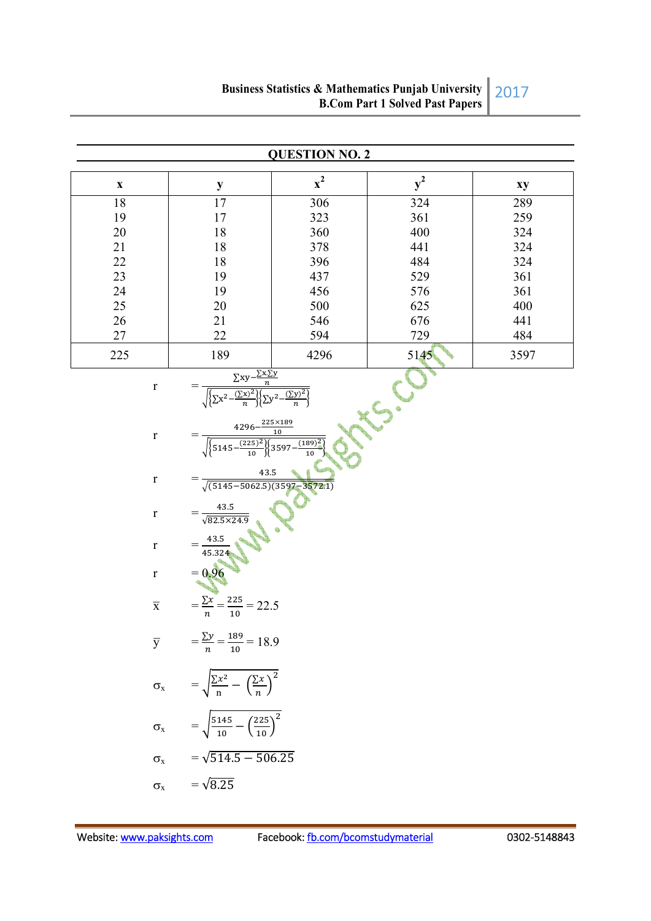|                         |                                                                                                                                                                                                              | <b>QUESTION NO. 2</b> |       |      |
|-------------------------|--------------------------------------------------------------------------------------------------------------------------------------------------------------------------------------------------------------|-----------------------|-------|------|
| $\mathbf X$             | $\mathbf y$                                                                                                                                                                                                  | $x^2$                 | $y^2$ | xy   |
| 18                      | 17                                                                                                                                                                                                           | 306                   | 324   | 289  |
| 19                      | 17                                                                                                                                                                                                           | 323                   | 361   | 259  |
| $20\,$                  | 18                                                                                                                                                                                                           | 360                   | 400   | 324  |
| $21\,$                  | 18                                                                                                                                                                                                           | 378                   | 441   | 324  |
| $22\,$                  | 18                                                                                                                                                                                                           | 396                   | 484   | 324  |
| 23                      | 19                                                                                                                                                                                                           | 437                   | 529   | 361  |
| 24                      | 19                                                                                                                                                                                                           | 456                   | 576   | 361  |
| 25                      | 20                                                                                                                                                                                                           | 500                   | 625   | 400  |
| 26                      | 21                                                                                                                                                                                                           | 546                   | 676   | 441  |
| $27\,$                  | 22                                                                                                                                                                                                           | 594                   | 729   | 484  |
| 225                     | 189                                                                                                                                                                                                          | 4296                  | 5145  | 3597 |
| $\mathbf r$             | $\frac{\frac{\sum xy - \frac{\sum xy}{n}}{\sum x^2 - \frac{(\sum x)^2}{n}\left(\sum y^2 - \frac{(\sum y)^2}{n}\right)}}{\sqrt{\sum x^2 - \frac{(\sum y)^2}{n}\left(\sum y^2 - \frac{(\sum y)^2}{n}\right)}}$ |                       |       |      |
| $\mathbf r$             | $\frac{4296 - \frac{225 \times 189}{10}}{\sqrt{\left\{5145 - \frac{(225)^2}{10}\right\} \left\{3597 - \frac{(189)}{10}\right\}}}$                                                                            |                       |       |      |
| $\mathbf r$             | 43.5<br>$\sqrt{(5145-5062.5)(3597-3572.1)}$                                                                                                                                                                  |                       |       |      |
| $\mathbf r$             | $=\frac{43.5}{\sqrt{82.5 \times 24.9}}$                                                                                                                                                                      |                       |       |      |
| $\mathbf r$             | $=\frac{43.5}{45.324}$<br>= 0.96                                                                                                                                                                             |                       |       |      |
| $\mathbf{r}$            |                                                                                                                                                                                                              |                       |       |      |
| $\overline{\textbf{X}}$ | $=\frac{\sum x}{n}=\frac{225}{10}=22.5$                                                                                                                                                                      |                       |       |      |
|                         | $\overline{y}$ = $\frac{\Sigma y}{n}$ = $\frac{189}{10}$ = 18.9                                                                                                                                              |                       |       |      |
|                         | $\sigma_x = \sqrt{\frac{\sum x^2}{n} - (\frac{\sum x}{n})^2}$                                                                                                                                                |                       |       |      |
|                         | $\sigma_{\rm x}$ = $\sqrt{\frac{5145}{10} - (\frac{225}{10})^2}$                                                                                                                                             |                       |       |      |
| $\sigma_x$              | $=\sqrt{514.5 - 506.25}$                                                                                                                                                                                     |                       |       |      |
| $\sigma_{\rm x}$        | $=\sqrt{8.25}$                                                                                                                                                                                               |                       |       |      |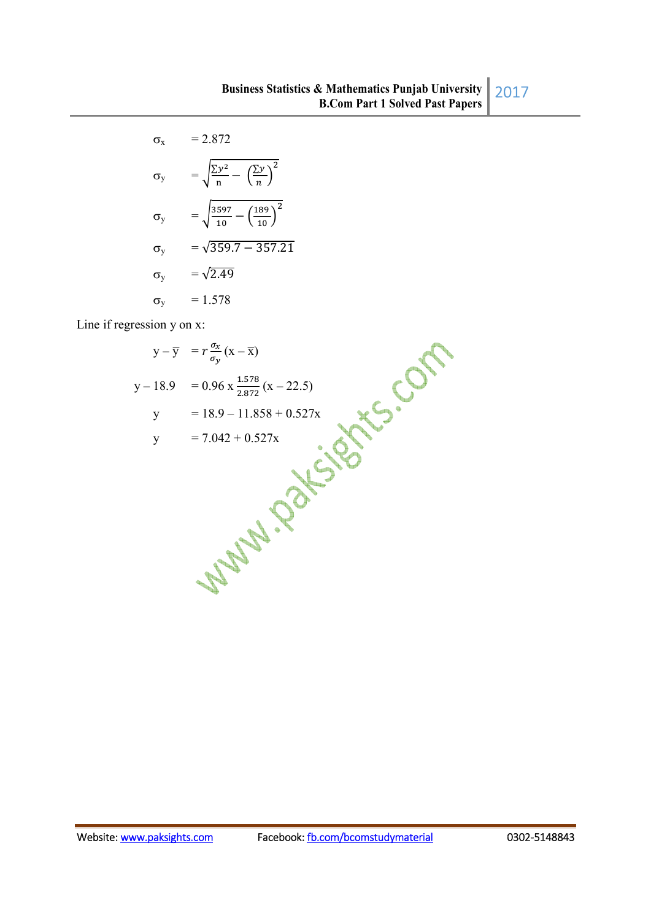$$
\sigma_x = 2.872
$$
  
\n
$$
\sigma_y = \sqrt{\frac{\Sigma y^2}{n} - \left(\frac{\Sigma y}{n}\right)^2}
$$
  
\n
$$
\sigma_y = \sqrt{\frac{3597}{10} - \left(\frac{189}{10}\right)^2}
$$
  
\n
$$
\sigma_y = \sqrt{359.7 - 357.21}
$$
  
\n
$$
\sigma_y = \sqrt{2.49}
$$
  
\n
$$
\sigma_y = 1.578
$$

Line if regression y on x:

$$
y - \overline{y} = r \frac{\sigma_x}{\sigma_y} (x - \overline{x})
$$
  
\n
$$
y - 18.9 = 0.96 \times \frac{1.578}{2.872} (x - 22.5)
$$
  
\n
$$
y = 18.9 - 11.858 + 0.527x
$$
  
\n
$$
y = 7.042 + 0.527x
$$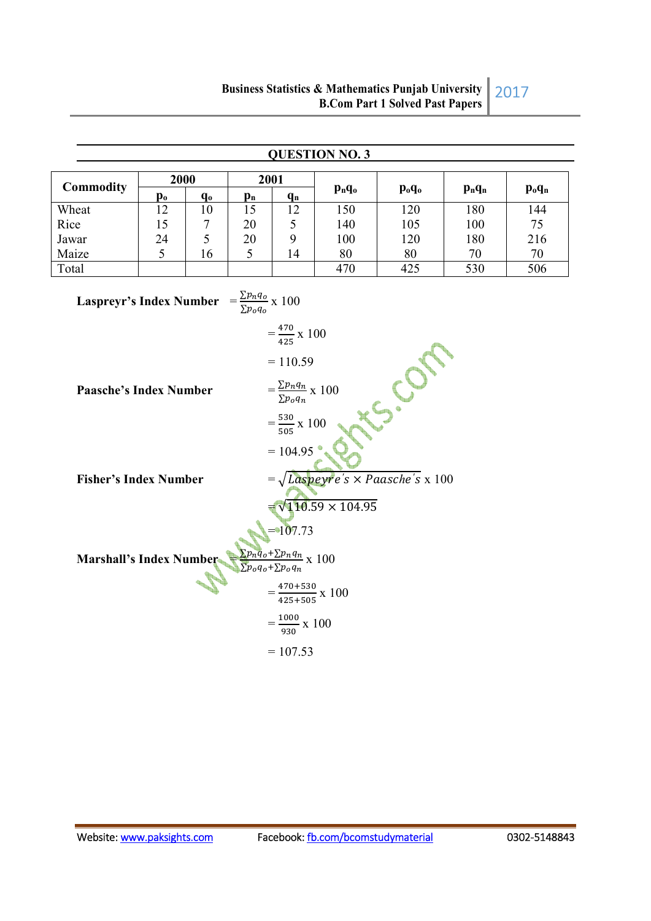|                                                                                                             |                      |               |                                                 |                                       | <b>QUESTION NO. 3</b> |                                |           |                                |
|-------------------------------------------------------------------------------------------------------------|----------------------|---------------|-------------------------------------------------|---------------------------------------|-----------------------|--------------------------------|-----------|--------------------------------|
| Commodity                                                                                                   | 2000                 |               |                                                 | 2001                                  | $p_nq_o$              | $\mathbf{p}_{o}\mathbf{q}_{o}$ | $p_n q_n$ | $\mathbf{p}_{o}\mathbf{q}_{n}$ |
| Wheat                                                                                                       | $\mathbf{p_o}$<br>12 | $q_{o}$<br>10 | $p_n$<br>15                                     | $q_{n}$<br>12                         | 150                   | 120                            | 180       | 144                            |
| Rice                                                                                                        | 15                   | 7             | 20                                              | 5                                     | 140                   | 105                            | 100       | 75                             |
| Jawar                                                                                                       | 24                   | 5             | 20                                              | 9                                     | 100                   | 120                            | 180       | 216                            |
| Maize                                                                                                       | 5                    | 16            | 5                                               | 14                                    | 80                    | 80                             | 70        | 70                             |
| Total                                                                                                       |                      |               |                                                 |                                       | 470                   | 425                            | 530       | 506                            |
| <b>Laspreyr's Index Number</b>                                                                              |                      |               | $=\frac{\sum p_n q_o}{\sum p_o q_o} \times 100$ |                                       |                       |                                |           |                                |
|                                                                                                             |                      |               |                                                 | $=\frac{470}{425}$ x 100              |                       |                                |           |                                |
|                                                                                                             |                      |               |                                                 | $= 110.59$                            |                       |                                |           |                                |
| O.<br>$=\frac{\sum p_n q_n}{\sum p_o q_n} \times 100$<br><b>Paasche's Index Number</b>                      |                      |               |                                                 |                                       |                       |                                |           |                                |
| $=\frac{530}{505} \times 100$                                                                               |                      |               |                                                 |                                       |                       |                                |           |                                |
| $= 104.95$                                                                                                  |                      |               |                                                 |                                       |                       |                                |           |                                |
| $=\sqrt{Laspeyre's \times Paasche's \times 100}$<br><b>Fisher's Index Number</b>                            |                      |               |                                                 |                                       |                       |                                |           |                                |
| $\sqrt{110.59 \times 104.95}$                                                                               |                      |               |                                                 |                                       |                       |                                |           |                                |
| $=107.73$                                                                                                   |                      |               |                                                 |                                       |                       |                                |           |                                |
| $\frac{\sum p_n q_o + \sum p_n q_n}{\sum p_o q_o + \sum p_o q_n} \ge 100$<br><b>Marshall's Index Number</b> |                      |               |                                                 |                                       |                       |                                |           |                                |
|                                                                                                             |                      |               |                                                 | $=\frac{470+530}{425+505} \times 100$ |                       |                                |           |                                |
|                                                                                                             |                      |               |                                                 | $=\frac{1000}{930}$ x 100             |                       |                                |           |                                |
| $= 107.53$                                                                                                  |                      |               |                                                 |                                       |                       |                                |           |                                |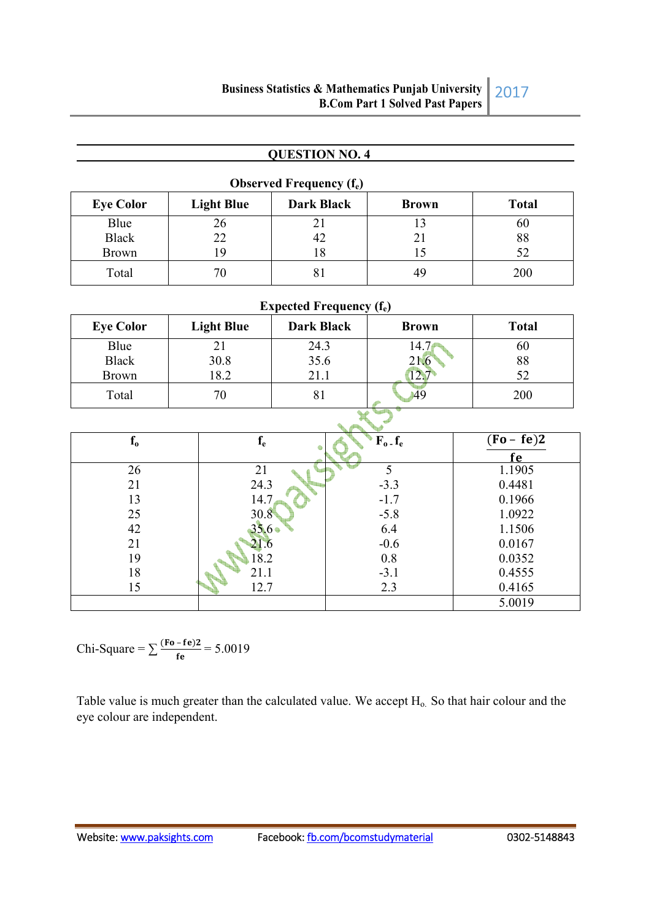### **QUESTION NO. 4**

| <b>Observed Frequency <math>(f_e)</math></b> |                   |            |              |              |  |
|----------------------------------------------|-------------------|------------|--------------|--------------|--|
| <b>Eye Color</b>                             | <b>Light Blue</b> | Dark Black | <b>Brown</b> | <b>Total</b> |  |
| Blue                                         | 26                |            |              | 60           |  |
| <b>Black</b>                                 | 22                | 42         |              | 88           |  |
| <b>Brown</b>                                 | 19                | 18         |              |              |  |
| Total                                        | 70                | 81         | 49           | 200          |  |

| Expected Frequency $(f_e)$ |                   |                   |              |              |  |
|----------------------------|-------------------|-------------------|--------------|--------------|--|
| <b>Eye Color</b>           | <b>Light Blue</b> | <b>Dark Black</b> | <b>Brown</b> | <b>Total</b> |  |
| Blue                       | 21                | 24.3              |              | 60           |  |
| <b>Black</b>               | 30.8              | 35.6              | 21.6         | 88           |  |
| <b>Brown</b>               | 18.2              | 21.1              |              | 52           |  |
| Total                      | 70                | δI                | 49           | 200          |  |

 $\mathbf x$ 

| $f_{0}$ | $\mathbf{I}_{\mathbf{e}}$ | $F_o$ $f_e$ | $(Fo - fe)2$ |
|---------|---------------------------|-------------|--------------|
|         |                           |             | е            |
| 26      | 21                        |             | 1.1905       |
| 21      | 24.3                      | $-3.3$      | 0.4481       |
| 13      | 14.7                      | $-1.7$      | 0.1966       |
| 25      | 30.8                      | $-5.8$      | 1.0922       |
| 42      | $35.6 \bullet$            | 6.4         | 1.1506       |
| 21      | 21.6                      | $-0.6$      | 0.0167       |
| 19      | 18.2                      | 0.8         | 0.0352       |
| 18      | 21.1                      | $-3.1$      | 0.4555       |
| 15      | 12.7                      | 2.3         | 0.4165       |
|         |                           |             | 5.0019       |

Chi-Square =  $\sum \frac{(Fo - fe)2}{fe}$  = 5.0019

Table value is much greater than the calculated value. We accept  $H_0$ . So that hair colour and the eye colour are independent.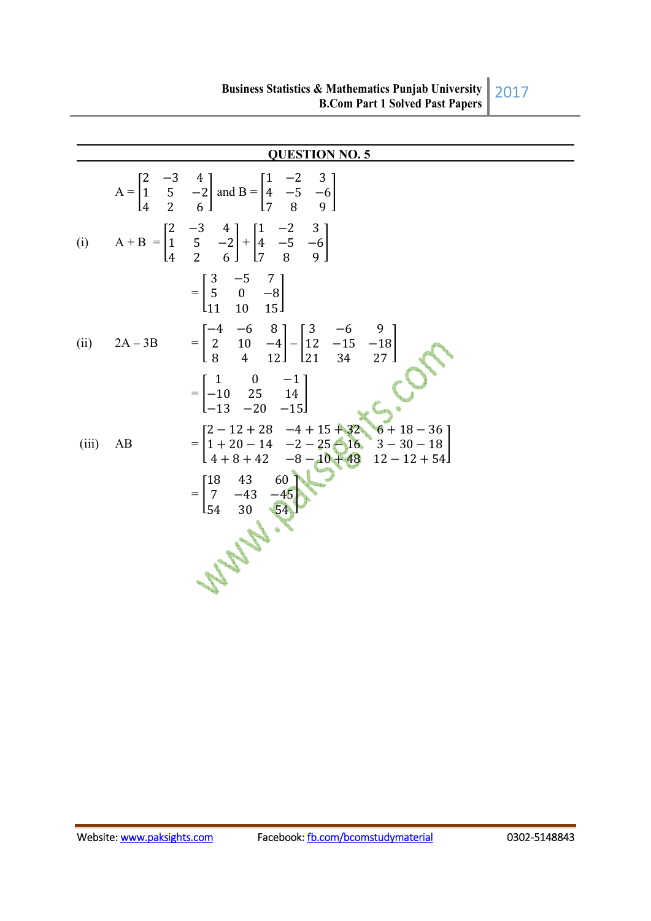|       |    | <b>QUESTION NO. 5</b>                                                                                                                                                                                            |
|-------|----|------------------------------------------------------------------------------------------------------------------------------------------------------------------------------------------------------------------|
|       |    | $A = \begin{bmatrix} 2 & -3 & 4 \\ 1 & 5 & -2 \\ 4 & 2 & 6 \end{bmatrix}$ and $B = \begin{bmatrix} 1 & -2 & 3 \\ 4 & -5 & -6 \\ 7 & 8 & 9 \end{bmatrix}$                                                         |
|       |    | (i) $A + B = \begin{bmatrix} 2 & -3 & 4 \\ 1 & 5 & -2 \\ 4 & 2 & 6 \end{bmatrix} + \begin{bmatrix} 1 & -2 & 3 \\ 4 & -5 & -6 \\ 7 & 8 & 9 \end{bmatrix}$                                                         |
|       |    | $=\begin{bmatrix} 3 & -5 & 7 \\ 5 & 0 & -8 \\ 11 & 10 & 15 \end{bmatrix}$                                                                                                                                        |
|       |    | (ii) $2A-3B = \begin{bmatrix} -4 & -6 & 8 \\ 2 & 10 & -4 \\ 8 & 4 & 12 \end{bmatrix} - \begin{bmatrix} 3 & -6 & 9 \\ 12 & -15 & -18 \\ 21 & 34 & 27 \end{bmatrix}$                                               |
|       |    | $=\begin{bmatrix} 1 & 0 & -1 \\ -10 & 25 & 14 \\ -13 & -20 & -15 \end{bmatrix}$                                                                                                                                  |
| (iii) | AB |                                                                                                                                                                                                                  |
|       |    | $=\begin{bmatrix} 2-12+28 & -4+15+32 & 6+18-36 \\ 1+20-14 & -2-25-16 & 3-30-18 \\ 4+8+42 & -8-10+48 & 12-12+54 \end{bmatrix}$<br>= $\begin{bmatrix} 18 & 43 & 60 \\ 7 & -43 & -45 \\ 54 & 30 & 54 \end{bmatrix}$ |
|       |    | <b>May.</b>                                                                                                                                                                                                      |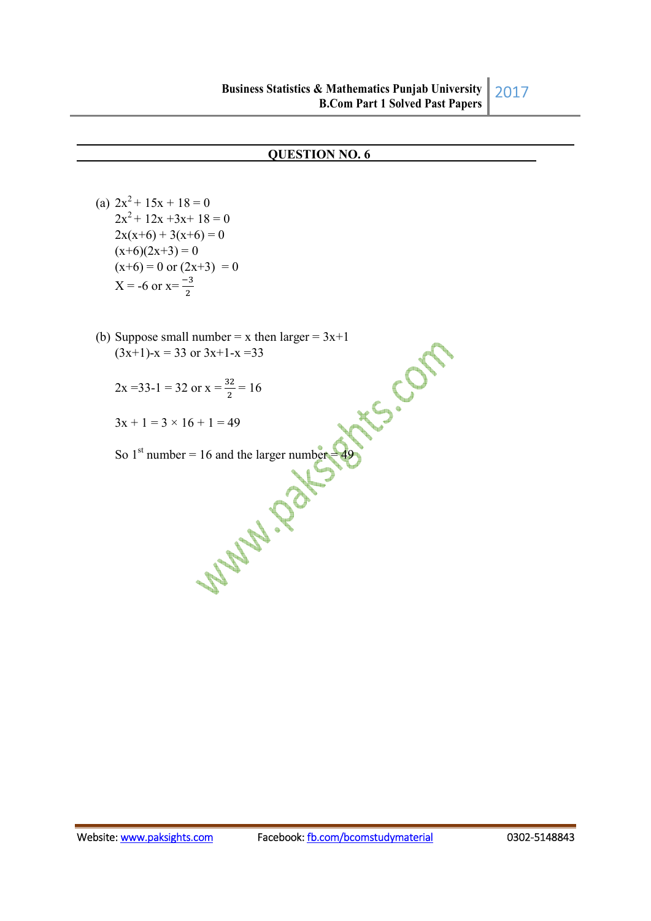#### **QUESTION NO. 6**

(a)  $2x^2 + 15x + 18 = 0$  $2x^2 + 12x + 3x + 18 = 0$  $2x(x+6) + 3(x+6) = 0$  $(x+6)(2x+3) = 0$  $(x+6) = 0$  or  $(2x+3) = 0$  $X = -6$  or  $x = \frac{-3}{2}$ 

- (b) Suppose small number = x then larger = 3x+1<br>  $(3x+1)-x = 33$  or  $3x+1-x=33$ <br>  $2x = 33-1 = 32$  or  $x = \frac{32}{2} = 16$ <br>  $3x + 1 = 3 \times 16 + 1 = 49$  $(3x+1)-x = 33$  or  $3x+1-x = 33$ 
	- $2x = 33-1 = 32$  or  $x = \frac{32}{2} = 16$
	- $3x + 1 = 3 \times 16 + 1 = 49$

So 1st number = 16 and the larger number = 49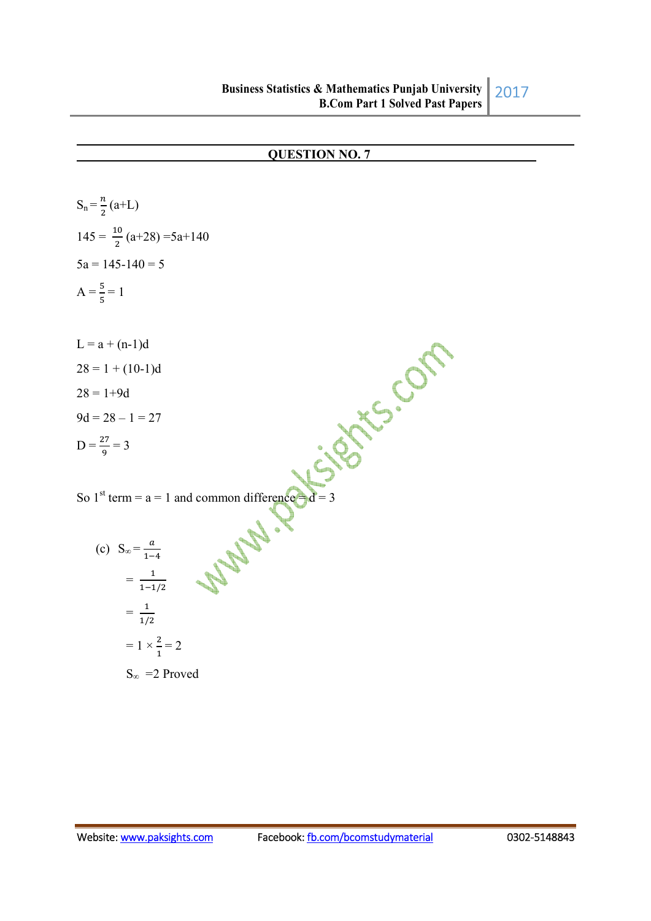## **QUESTION NO. 7**

$$
S_n = \frac{n}{2}(a+L)
$$
  
\n
$$
145 = \frac{10}{2}(a+28) = 5a+140
$$
  
\n
$$
5a = 145-140 = 5
$$
  
\n
$$
A = \frac{5}{5} = 1
$$
  
\n
$$
L = a + (n-1)d
$$
  
\n
$$
28 = 1 + (10-1)d
$$
  
\n
$$
28 = 1 + 9d
$$
  
\n
$$
9d = 28 - 1 = 27
$$
  
\n
$$
D = \frac{27}{9} = 3
$$
  
\nSo 1<sup>st</sup> term = a = 1 and common difference d = 3  
\n(c) 
$$
S_{\infty} = \frac{a}{1-4}
$$
  
\n
$$
= \frac{1}{1+2a}
$$
  
\n
$$
= 1 \times \frac{2}{1} = 2
$$

 $S_{\infty}$  = 2 Proved